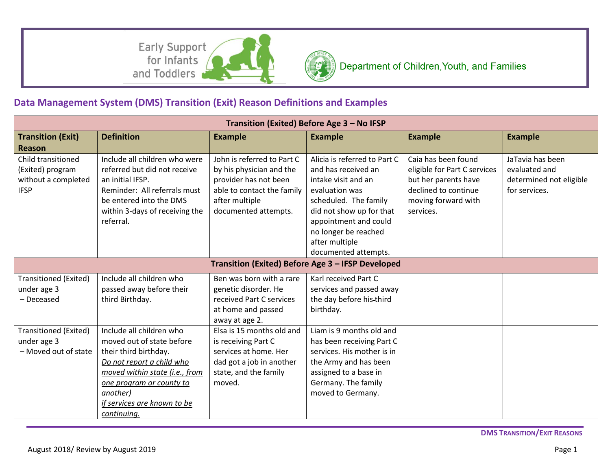Early Support for Infants and Toddlers



## **Data Management System (DMS) Transition (Exit) Reason Definitions and Examples**

| <b>Example</b>                                                            |  |  |  |  |  |  |
|---------------------------------------------------------------------------|--|--|--|--|--|--|
|                                                                           |  |  |  |  |  |  |
| JaTavia has been                                                          |  |  |  |  |  |  |
| evaluated and                                                             |  |  |  |  |  |  |
| determined not eligible                                                   |  |  |  |  |  |  |
| for services.                                                             |  |  |  |  |  |  |
|                                                                           |  |  |  |  |  |  |
|                                                                           |  |  |  |  |  |  |
|                                                                           |  |  |  |  |  |  |
|                                                                           |  |  |  |  |  |  |
|                                                                           |  |  |  |  |  |  |
| documented attempts.<br>Transition (Exited) Before Age 3 - IFSP Developed |  |  |  |  |  |  |
|                                                                           |  |  |  |  |  |  |
|                                                                           |  |  |  |  |  |  |
|                                                                           |  |  |  |  |  |  |
|                                                                           |  |  |  |  |  |  |
|                                                                           |  |  |  |  |  |  |
|                                                                           |  |  |  |  |  |  |
|                                                                           |  |  |  |  |  |  |
|                                                                           |  |  |  |  |  |  |
|                                                                           |  |  |  |  |  |  |
|                                                                           |  |  |  |  |  |  |
|                                                                           |  |  |  |  |  |  |
|                                                                           |  |  |  |  |  |  |
|                                                                           |  |  |  |  |  |  |
|                                                                           |  |  |  |  |  |  |
|                                                                           |  |  |  |  |  |  |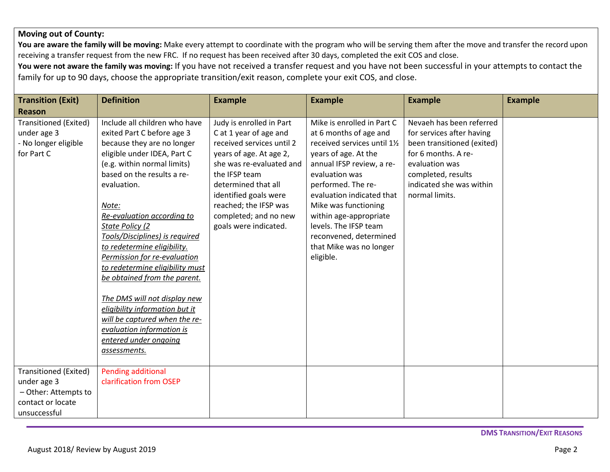## **Moving out of County:**

You are aware the family will be moving: Make every attempt to coordinate with the program who will be serving them after the move and transfer the record upon receiving a transfer request from the new FRC. If no request has been received after 30 days, completed the exit COS and close.

**You were not aware the family was moving:** If you have not received a transfer request and you have not been successful in your attempts to contact the family for up to 90 days, choose the appropriate transition/exit reason, complete your exit COS, and close.

| <b>Transition (Exit)</b>                                                                          | <b>Definition</b>                                                                                                                                                                                                                                                                                                                                                                                                                                                                                                                                                                                           | <b>Example</b>                                                                                                                                                                                                                                                                     | <b>Example</b>                                                                                                                                                                                                                                                                                                                                              | <b>Example</b>                                                                                                                                                                                   | <b>Example</b> |
|---------------------------------------------------------------------------------------------------|-------------------------------------------------------------------------------------------------------------------------------------------------------------------------------------------------------------------------------------------------------------------------------------------------------------------------------------------------------------------------------------------------------------------------------------------------------------------------------------------------------------------------------------------------------------------------------------------------------------|------------------------------------------------------------------------------------------------------------------------------------------------------------------------------------------------------------------------------------------------------------------------------------|-------------------------------------------------------------------------------------------------------------------------------------------------------------------------------------------------------------------------------------------------------------------------------------------------------------------------------------------------------------|--------------------------------------------------------------------------------------------------------------------------------------------------------------------------------------------------|----------------|
| <b>Reason</b>                                                                                     |                                                                                                                                                                                                                                                                                                                                                                                                                                                                                                                                                                                                             |                                                                                                                                                                                                                                                                                    |                                                                                                                                                                                                                                                                                                                                                             |                                                                                                                                                                                                  |                |
| Transitioned (Exited)<br>under age 3<br>- No longer eligible<br>for Part C                        | Include all children who have<br>exited Part C before age 3<br>because they are no longer<br>eligible under IDEA, Part C<br>(e.g. within normal limits)<br>based on the results a re-<br>evaluation.<br>Note:<br>Re-evaluation according to<br>State Policy (2<br>Tools/Disciplines) is required<br>to redetermine eligibility.<br>Permission for re-evaluation<br>to redetermine eligibility must<br>be obtained from the parent.<br>The DMS will not display new<br>eligibility information but it<br>will be captured when the re-<br>evaluation information is<br>entered under ongoing<br>assessments. | Judy is enrolled in Part<br>C at 1 year of age and<br>received services until 2<br>years of age. At age 2,<br>she was re-evaluated and<br>the IFSP team<br>determined that all<br>identified goals were<br>reached; the IFSP was<br>completed; and no new<br>goals were indicated. | Mike is enrolled in Part C<br>at 6 months of age and<br>received services until 11/2<br>years of age. At the<br>annual IFSP review, a re-<br>evaluation was<br>performed. The re-<br>evaluation indicated that<br>Mike was functioning<br>within age-appropriate<br>levels. The IFSP team<br>reconvened, determined<br>that Mike was no longer<br>eligible. | Nevaeh has been referred<br>for services after having<br>been transitioned (exited)<br>for 6 months. A re-<br>evaluation was<br>completed, results<br>indicated she was within<br>normal limits. |                |
| Transitioned (Exited)<br>under age 3<br>- Other: Attempts to<br>contact or locate<br>unsuccessful | <b>Pending additional</b><br>clarification from OSEP                                                                                                                                                                                                                                                                                                                                                                                                                                                                                                                                                        |                                                                                                                                                                                                                                                                                    |                                                                                                                                                                                                                                                                                                                                                             |                                                                                                                                                                                                  |                |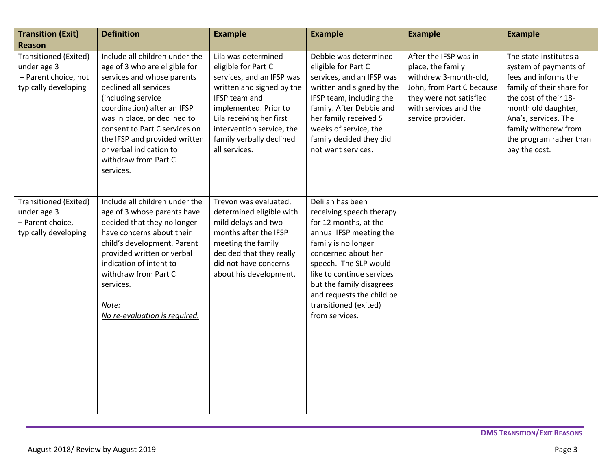| <b>Transition (Exit)</b><br><b>Reason</b>                                            | <b>Definition</b>                                                                                                                                                                                                                                                                                                                             | <b>Example</b>                                                                                                                                                                                                                                       | <b>Example</b>                                                                                                                                                                                                                                                                                           | <b>Example</b>                                                                                                                                                            | <b>Example</b>                                                                                                                                                                                                                                   |
|--------------------------------------------------------------------------------------|-----------------------------------------------------------------------------------------------------------------------------------------------------------------------------------------------------------------------------------------------------------------------------------------------------------------------------------------------|------------------------------------------------------------------------------------------------------------------------------------------------------------------------------------------------------------------------------------------------------|----------------------------------------------------------------------------------------------------------------------------------------------------------------------------------------------------------------------------------------------------------------------------------------------------------|---------------------------------------------------------------------------------------------------------------------------------------------------------------------------|--------------------------------------------------------------------------------------------------------------------------------------------------------------------------------------------------------------------------------------------------|
| Transitioned (Exited)<br>under age 3<br>- Parent choice, not<br>typically developing | Include all children under the<br>age of 3 who are eligible for<br>services and whose parents<br>declined all services<br>(including service<br>coordination) after an IFSP<br>was in place, or declined to<br>consent to Part C services on<br>the IFSP and provided written<br>or verbal indication to<br>withdraw from Part C<br>services. | Lila was determined<br>eligible for Part C<br>services, and an IFSP was<br>written and signed by the<br>IFSP team and<br>implemented. Prior to<br>Lila receiving her first<br>intervention service, the<br>family verbally declined<br>all services. | Debbie was determined<br>eligible for Part C<br>services, and an IFSP was<br>written and signed by the<br>IFSP team, including the<br>family. After Debbie and<br>her family received 5<br>weeks of service, the<br>family decided they did<br>not want services.                                        | After the IFSP was in<br>place, the family<br>withdrew 3-month-old,<br>John, from Part C because<br>they were not satisfied<br>with services and the<br>service provider. | The state institutes a<br>system of payments of<br>fees and informs the<br>family of their share for<br>the cost of their 18-<br>month old daughter,<br>Ana's, services. The<br>family withdrew from<br>the program rather than<br>pay the cost. |
| Transitioned (Exited)<br>under age 3<br>- Parent choice,<br>typically developing     | Include all children under the<br>age of 3 whose parents have<br>decided that they no longer<br>have concerns about their<br>child's development. Parent<br>provided written or verbal<br>indication of intent to<br>withdraw from Part C<br>services.<br>Note:<br>No re-evaluation is required.                                              | Trevon was evaluated,<br>determined eligible with<br>mild delays and two-<br>months after the IFSP<br>meeting the family<br>decided that they really<br>did not have concerns<br>about his development.                                              | Delilah has been<br>receiving speech therapy<br>for 12 months, at the<br>annual IFSP meeting the<br>family is no longer<br>concerned about her<br>speech. The SLP would<br>like to continue services<br>but the family disagrees<br>and requests the child be<br>transitioned (exited)<br>from services. |                                                                                                                                                                           |                                                                                                                                                                                                                                                  |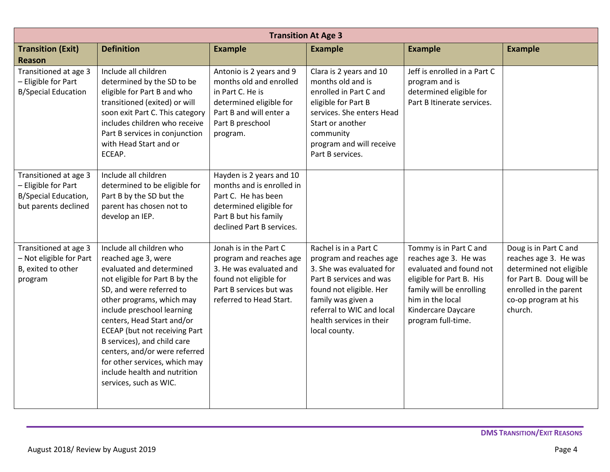| <b>Transition At Age 3</b>                                                                          |                                                                                                                                                                                                                                                                                                                                                                                                                                |                                                                                                                                                               |                                                                                                                                                                                                                                    |                                                                                                                                                                                                    |                                                                                                                                                                    |
|-----------------------------------------------------------------------------------------------------|--------------------------------------------------------------------------------------------------------------------------------------------------------------------------------------------------------------------------------------------------------------------------------------------------------------------------------------------------------------------------------------------------------------------------------|---------------------------------------------------------------------------------------------------------------------------------------------------------------|------------------------------------------------------------------------------------------------------------------------------------------------------------------------------------------------------------------------------------|----------------------------------------------------------------------------------------------------------------------------------------------------------------------------------------------------|--------------------------------------------------------------------------------------------------------------------------------------------------------------------|
| <b>Transition (Exit)</b><br><b>Reason</b>                                                           | <b>Definition</b>                                                                                                                                                                                                                                                                                                                                                                                                              | <b>Example</b>                                                                                                                                                | <b>Example</b>                                                                                                                                                                                                                     | <b>Example</b>                                                                                                                                                                                     | <b>Example</b>                                                                                                                                                     |
| Transitioned at age 3<br>- Eligible for Part<br><b>B/Special Education</b>                          | Include all children<br>determined by the SD to be<br>eligible for Part B and who<br>transitioned (exited) or will<br>soon exit Part C. This category<br>includes children who receive<br>Part B services in conjunction<br>with Head Start and or<br>ECEAP.                                                                                                                                                                   | Antonio is 2 years and 9<br>months old and enrolled<br>in Part C. He is<br>determined eligible for<br>Part B and will enter a<br>Part B preschool<br>program. | Clara is 2 years and 10<br>months old and is<br>enrolled in Part C and<br>eligible for Part B<br>services. She enters Head<br>Start or another<br>community<br>program and will receive<br>Part B services.                        | Jeff is enrolled in a Part C<br>program and is<br>determined eligible for<br>Part B Itinerate services.                                                                                            |                                                                                                                                                                    |
| Transitioned at age 3<br>- Eligible for Part<br><b>B/Special Education,</b><br>but parents declined | Include all children<br>determined to be eligible for<br>Part B by the SD but the<br>parent has chosen not to<br>develop an IEP.                                                                                                                                                                                                                                                                                               | Hayden is 2 years and 10<br>months and is enrolled in<br>Part C. He has been<br>determined eligible for<br>Part B but his family<br>declined Part B services. |                                                                                                                                                                                                                                    |                                                                                                                                                                                                    |                                                                                                                                                                    |
| Transitioned at age 3<br>- Not eligible for Part<br>B, exited to other<br>program                   | Include all children who<br>reached age 3, were<br>evaluated and determined<br>not eligible for Part B by the<br>SD, and were referred to<br>other programs, which may<br>include preschool learning<br>centers, Head Start and/or<br>ECEAP (but not receiving Part<br>B services), and child care<br>centers, and/or were referred<br>for other services, which may<br>include health and nutrition<br>services, such as WIC. | Jonah is in the Part C<br>program and reaches age<br>3. He was evaluated and<br>found not eligible for<br>Part B services but was<br>referred to Head Start.  | Rachel is in a Part C<br>program and reaches age<br>3. She was evaluated for<br>Part B services and was<br>found not eligible. Her<br>family was given a<br>referral to WIC and local<br>health services in their<br>local county. | Tommy is in Part C and<br>reaches age 3. He was<br>evaluated and found not<br>eligible for Part B. His<br>family will be enrolling<br>him in the local<br>Kindercare Daycare<br>program full-time. | Doug is in Part C and<br>reaches age 3. He was<br>determined not eligible<br>for Part B. Doug will be<br>enrolled in the parent<br>co-op program at his<br>church. |